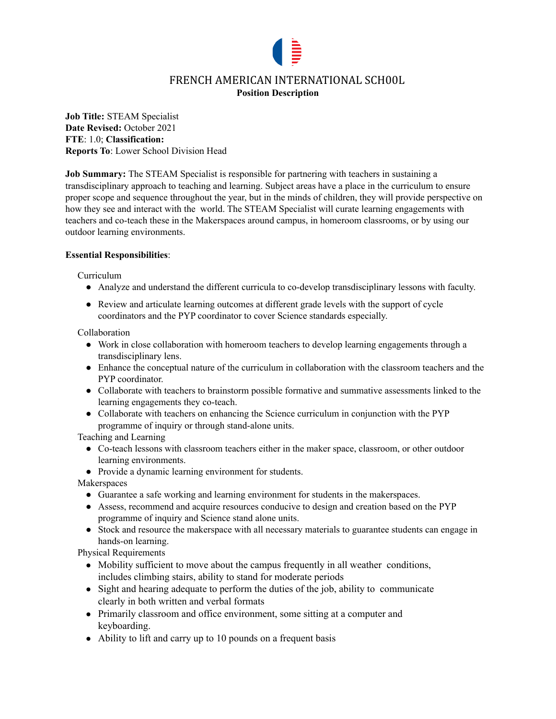

# FRENCH AMERICAN INTERNATIONAL SCH00L **Position Description**

**Job Title:** STEAM Specialist **Date Revised:** October 2021 **FTE**: 1.0; **Classification: Reports To**: Lower School Division Head

**Job Summary:** The STEAM Specialist is responsible for partnering with teachers in sustaining a transdisciplinary approach to teaching and learning. Subject areas have a place in the curriculum to ensure proper scope and sequence throughout the year, but in the minds of children, they will provide perspective on how they see and interact with the world. The STEAM Specialist will curate learning engagements with teachers and co-teach these in the Makerspaces around campus, in homeroom classrooms, or by using our outdoor learning environments.

# **Essential Responsibilities**:

Curriculum

- Analyze and understand the different curricula to co-develop transdisciplinary lessons with faculty.
- Review and articulate learning outcomes at different grade levels with the support of cycle coordinators and the PYP coordinator to cover Science standards especially.

Collaboration

- Work in close collaboration with homeroom teachers to develop learning engagements through a transdisciplinary lens.
- Enhance the conceptual nature of the curriculum in collaboration with the classroom teachers and the PYP coordinator.
- Collaborate with teachers to brainstorm possible formative and summative assessments linked to the learning engagements they co-teach.
- Collaborate with teachers on enhancing the Science curriculum in conjunction with the PYP programme of inquiry or through stand-alone units.

Teaching and Learning

- Co-teach lessons with classroom teachers either in the maker space, classroom, or other outdoor learning environments.
- Provide a dynamic learning environment for students.

Makerspaces

- Guarantee a safe working and learning environment for students in the makerspaces.
- Assess, recommend and acquire resources conducive to design and creation based on the PYP programme of inquiry and Science stand alone units.
- Stock and resource the makerspace with all necessary materials to guarantee students can engage in hands-on learning.

Physical Requirements

- Mobility sufficient to move about the campus frequently in all weather conditions, includes climbing stairs, ability to stand for moderate periods
- Sight and hearing adequate to perform the duties of the job, ability to communicate clearly in both written and verbal formats
- Primarily classroom and office environment, some sitting at a computer and keyboarding.
- Ability to lift and carry up to 10 pounds on a frequent basis